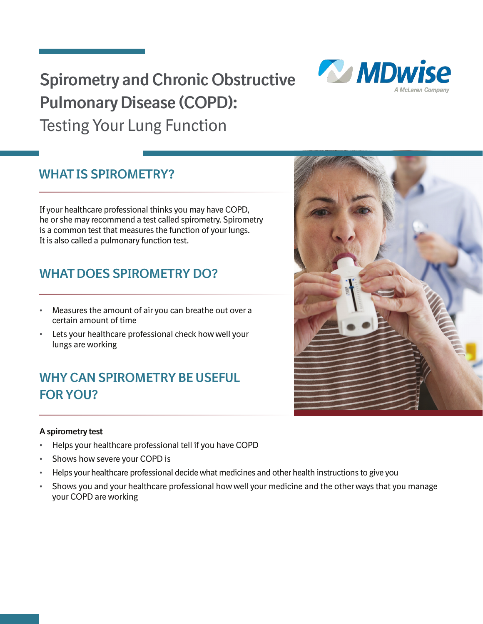## **Spirometry and Chronic Obstructive Pulmonary Disease (COPD):**  Testing Your Lung Function



If your healthcare professional thinks you may have COPD, he or she may recommend a test called spirometry. Spirometry is a common test that measures the function of your lungs. It is also called a pulmonary function test.

## **WHAT DOES SPIROMETRY DO?**

- **•** Measures the amount of air you can breathe out over a certain amount of time
- **•** Lets your healthcare professional check how well your lungs are working

## **WHY CAN SPIROMETRY BE USEFUL FOR YOU?**

### **A spirometry test**

- **•** Helps your healthcare professional tell if you have COPD
- **•** Shows how severe your COPD is
- **•** Helps your healthcare professional decide what medicines and other health instructions to give you
- **•** Shows you and your healthcare professional how well your medicine and the other ways that you manage your COPD are working